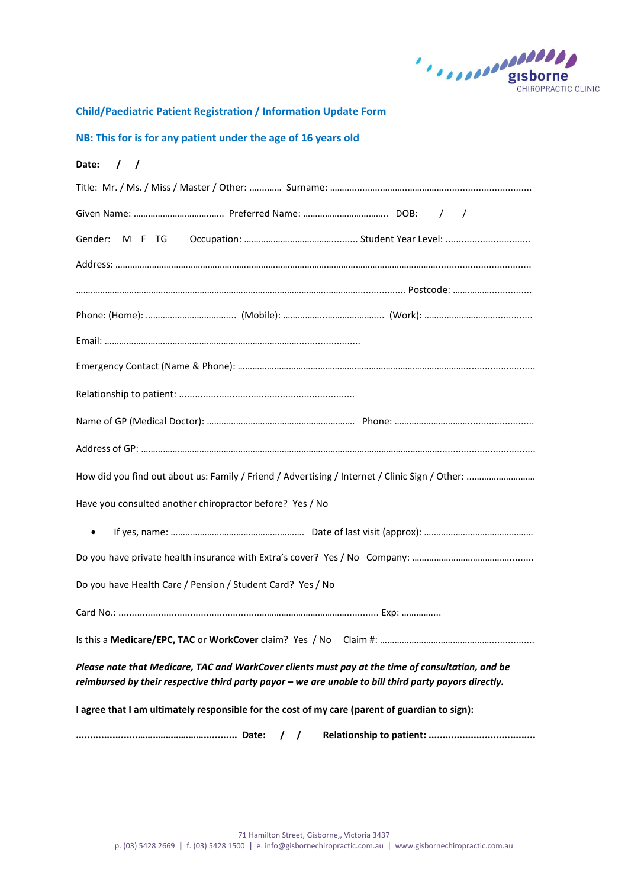

**Child/Paediatric Patient Registration / Information Update Form**

# **NB: This for is for any patient under the age of 16 years old**

| Date:<br>$\left  \begin{array}{cc} \end{array} \right $                                                                                                                                                    |  |  |  |  |
|------------------------------------------------------------------------------------------------------------------------------------------------------------------------------------------------------------|--|--|--|--|
|                                                                                                                                                                                                            |  |  |  |  |
|                                                                                                                                                                                                            |  |  |  |  |
|                                                                                                                                                                                                            |  |  |  |  |
|                                                                                                                                                                                                            |  |  |  |  |
|                                                                                                                                                                                                            |  |  |  |  |
|                                                                                                                                                                                                            |  |  |  |  |
|                                                                                                                                                                                                            |  |  |  |  |
|                                                                                                                                                                                                            |  |  |  |  |
|                                                                                                                                                                                                            |  |  |  |  |
|                                                                                                                                                                                                            |  |  |  |  |
|                                                                                                                                                                                                            |  |  |  |  |
| How did you find out about us: Family / Friend / Advertising / Internet / Clinic Sign / Other:                                                                                                             |  |  |  |  |
| Have you consulted another chiropractor before? Yes / No                                                                                                                                                   |  |  |  |  |
|                                                                                                                                                                                                            |  |  |  |  |
|                                                                                                                                                                                                            |  |  |  |  |
| Do you have Health Care / Pension / Student Card? Yes / No                                                                                                                                                 |  |  |  |  |
|                                                                                                                                                                                                            |  |  |  |  |
|                                                                                                                                                                                                            |  |  |  |  |
| Please note that Medicare, TAC and WorkCover clients must pay at the time of consultation, and be<br>reimbursed by their respective third party payor - we are unable to bill third party payors directly. |  |  |  |  |
| I agree that I am ultimately responsible for the cost of my care (parent of guardian to sign):                                                                                                             |  |  |  |  |
| $\prime$<br>$\prime$                                                                                                                                                                                       |  |  |  |  |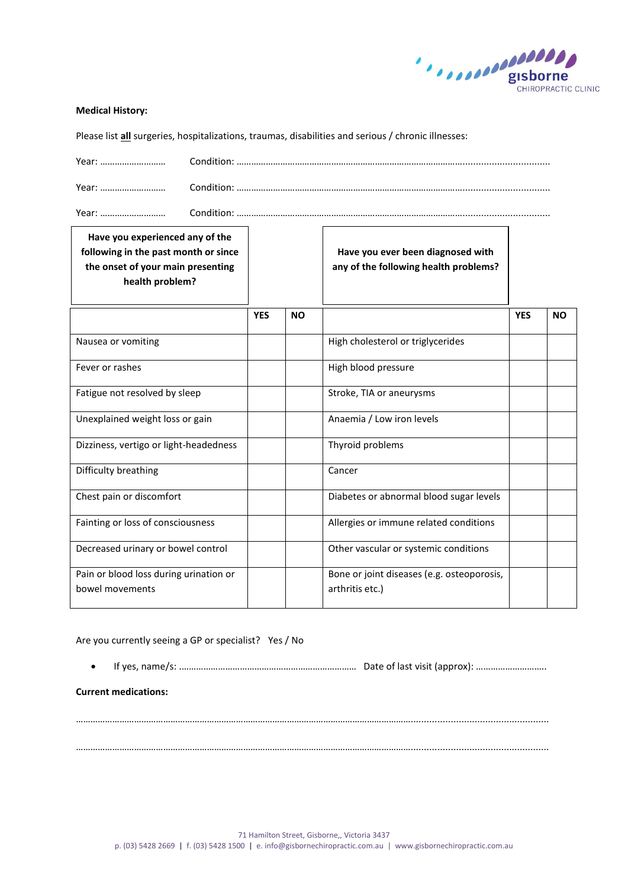

### **Medical History:**

Please list **all** surgeries, hospitalizations, traumas, disabilities and serious / chronic illnesses:

| Vear     | `∩nditi∩   |
|----------|------------|
| Vear<br> | Condition. |

Year: ……………………… Condition: ………………………………………………………………………………….................................

| Have you experienced any of the<br>following in the past month or since<br>the onset of your main presenting<br>health problem? |            |           | Have you ever been diagnosed with<br>any of the following health problems? |            |           |
|---------------------------------------------------------------------------------------------------------------------------------|------------|-----------|----------------------------------------------------------------------------|------------|-----------|
|                                                                                                                                 | <b>YES</b> | <b>NO</b> |                                                                            | <b>YES</b> | <b>NO</b> |
| Nausea or vomiting                                                                                                              |            |           | High cholesterol or triglycerides                                          |            |           |
| Fever or rashes                                                                                                                 |            |           | High blood pressure                                                        |            |           |
| Fatigue not resolved by sleep                                                                                                   |            |           | Stroke, TIA or aneurysms                                                   |            |           |
| Unexplained weight loss or gain                                                                                                 |            |           | Anaemia / Low iron levels                                                  |            |           |
| Dizziness, vertigo or light-headedness                                                                                          |            |           | Thyroid problems                                                           |            |           |
| Difficulty breathing                                                                                                            |            |           | Cancer                                                                     |            |           |
| Chest pain or discomfort                                                                                                        |            |           | Diabetes or abnormal blood sugar levels                                    |            |           |
| Fainting or loss of consciousness                                                                                               |            |           | Allergies or immune related conditions                                     |            |           |
| Decreased urinary or bowel control                                                                                              |            |           | Other vascular or systemic conditions                                      |            |           |
| Pain or blood loss during urination or<br>bowel movements                                                                       |            |           | Bone or joint diseases (e.g. osteoporosis,<br>arthritis etc.)              |            |           |

## Are you currently seeing a GP or specialist? Yes / No

If yes, name/s: .……………………………………………………………… Date of last visit (approx): ………………………..

…………………………………………………………………………………………………………………………....................................................

…………………………………………………………………………………………………………………………....................................................

### **Current medications:**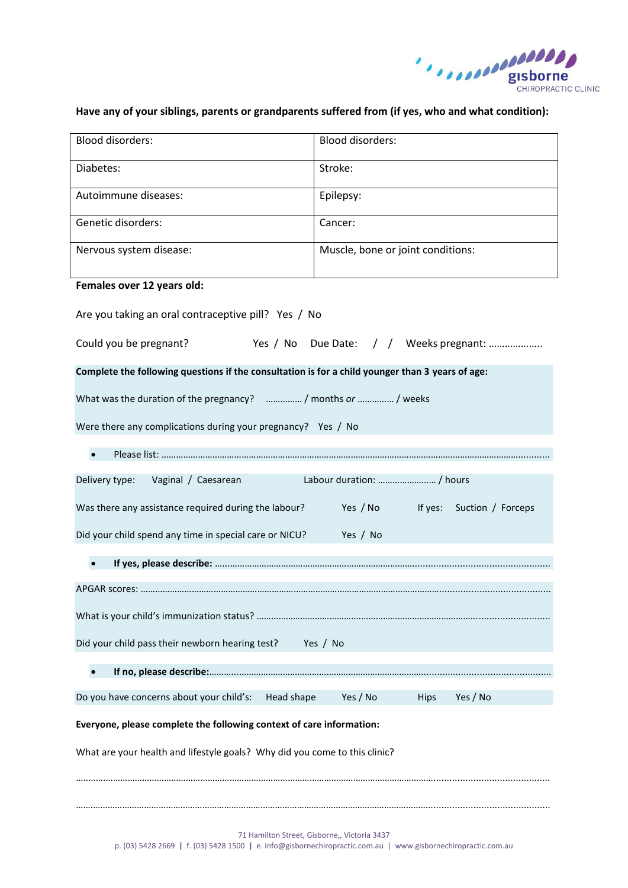

# **Have any of your siblings, parents or grandparents suffered from (if yes, who and what condition):**

| <b>Blood disorders:</b>                                                                          | <b>Blood disorders:</b>             |  |  |  |
|--------------------------------------------------------------------------------------------------|-------------------------------------|--|--|--|
| Diabetes:                                                                                        | Stroke:                             |  |  |  |
| Autoimmune diseases:                                                                             | Epilepsy:                           |  |  |  |
| Genetic disorders:                                                                               | Cancer:                             |  |  |  |
| Nervous system disease:                                                                          | Muscle, bone or joint conditions:   |  |  |  |
| Females over 12 years old:                                                                       |                                     |  |  |  |
| Are you taking an oral contraceptive pill? Yes / No                                              |                                     |  |  |  |
| Could you be pregnant?<br>Yes / No Due Date: / / Weeks pregnant:                                 |                                     |  |  |  |
| Complete the following questions if the consultation is for a child younger than 3 years of age: |                                     |  |  |  |
| What was the duration of the pregnancy?  / months or  / weeks                                    |                                     |  |  |  |
| Were there any complications during your pregnancy? Yes / No                                     |                                     |  |  |  |
|                                                                                                  |                                     |  |  |  |
| Labour duration:  / hours<br>Delivery type:<br>Vaginal / Caesarean                               |                                     |  |  |  |
| Was there any assistance required during the labour?<br>Yes / No If yes: Suction / Forceps       |                                     |  |  |  |
| Did your child spend any time in special care or NICU?                                           | Yes / No                            |  |  |  |
|                                                                                                  |                                     |  |  |  |
|                                                                                                  |                                     |  |  |  |
|                                                                                                  |                                     |  |  |  |
| Did your child pass their newborn hearing test?<br>Yes / No                                      |                                     |  |  |  |
|                                                                                                  |                                     |  |  |  |
| Do you have concerns about your child's:<br>Head shape                                           | Yes / No<br>Yes / No<br><b>Hips</b> |  |  |  |
| Everyone, please complete the following context of care information:                             |                                     |  |  |  |
| What are your health and lifestyle goals? Why did you come to this clinic?                       |                                     |  |  |  |
|                                                                                                  |                                     |  |  |  |
|                                                                                                  |                                     |  |  |  |